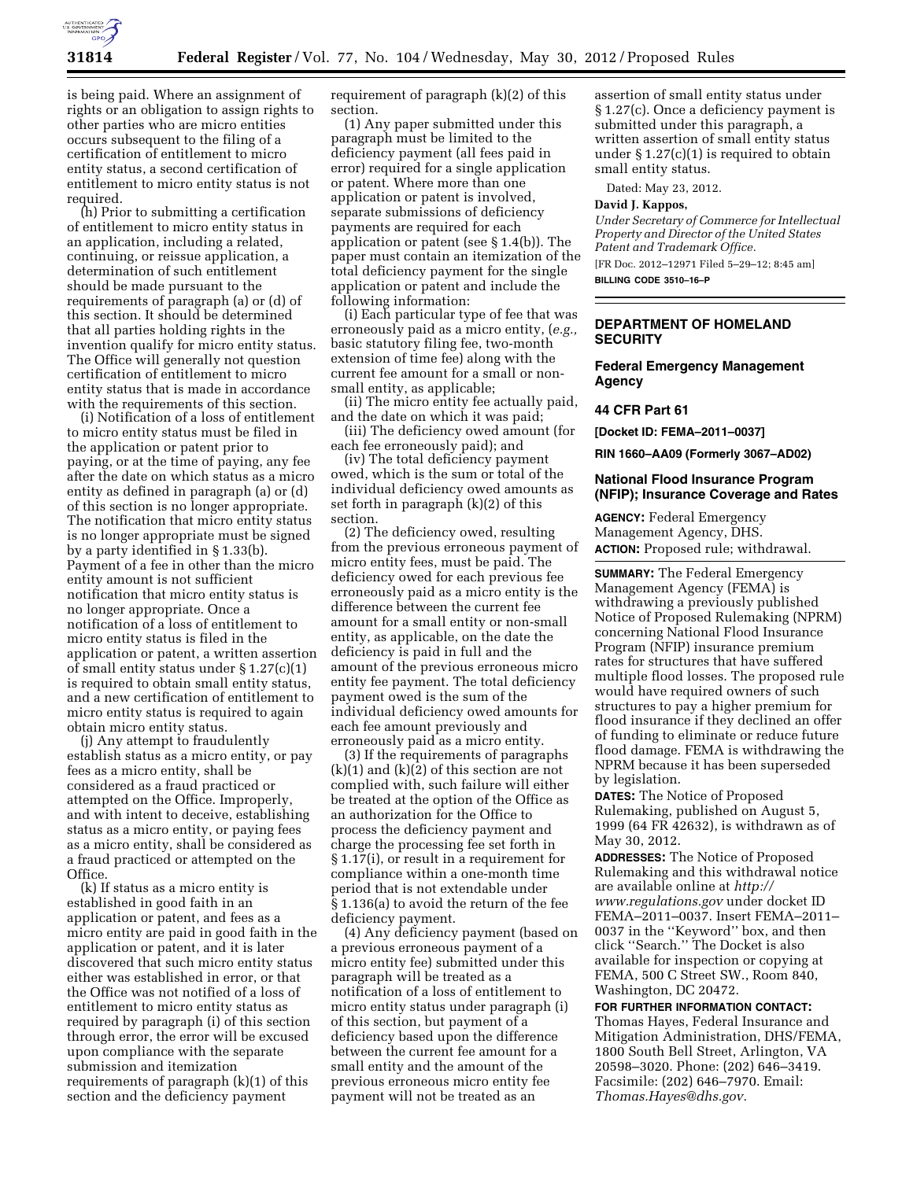

is being paid. Where an assignment of rights or an obligation to assign rights to other parties who are micro entities occurs subsequent to the filing of a certification of entitlement to micro entity status, a second certification of entitlement to micro entity status is not required.

(h) Prior to submitting a certification of entitlement to micro entity status in an application, including a related, continuing, or reissue application, a determination of such entitlement should be made pursuant to the requirements of paragraph (a) or (d) of this section. It should be determined that all parties holding rights in the invention qualify for micro entity status. The Office will generally not question certification of entitlement to micro entity status that is made in accordance with the requirements of this section.

(i) Notification of a loss of entitlement to micro entity status must be filed in the application or patent prior to paying, or at the time of paying, any fee after the date on which status as a micro entity as defined in paragraph (a) or (d) of this section is no longer appropriate. The notification that micro entity status is no longer appropriate must be signed by a party identified in § 1.33(b). Payment of a fee in other than the micro entity amount is not sufficient notification that micro entity status is no longer appropriate. Once a notification of a loss of entitlement to micro entity status is filed in the application or patent, a written assertion of small entity status under § 1.27(c)(1) is required to obtain small entity status, and a new certification of entitlement to micro entity status is required to again obtain micro entity status.

(j) Any attempt to fraudulently establish status as a micro entity, or pay fees as a micro entity, shall be considered as a fraud practiced or attempted on the Office. Improperly, and with intent to deceive, establishing status as a micro entity, or paying fees as a micro entity, shall be considered as a fraud practiced or attempted on the Office.

(k) If status as a micro entity is established in good faith in an application or patent, and fees as a micro entity are paid in good faith in the application or patent, and it is later discovered that such micro entity status either was established in error, or that the Office was not notified of a loss of entitlement to micro entity status as required by paragraph (i) of this section through error, the error will be excused upon compliance with the separate submission and itemization requirements of paragraph (k)(1) of this section and the deficiency payment

requirement of paragraph (k)(2) of this section.

(1) Any paper submitted under this paragraph must be limited to the deficiency payment (all fees paid in error) required for a single application or patent. Where more than one application or patent is involved, separate submissions of deficiency payments are required for each application or patent (see § 1.4(b)). The paper must contain an itemization of the total deficiency payment for the single application or patent and include the following information:

(i) Each particular type of fee that was erroneously paid as a micro entity, (*e.g.,*  basic statutory filing fee, two-month extension of time fee) along with the current fee amount for a small or nonsmall entity, as applicable;

(ii) The micro entity fee actually paid, and the date on which it was paid;

(iii) The deficiency owed amount (for each fee erroneously paid); and

(iv) The total deficiency payment owed, which is the sum or total of the individual deficiency owed amounts as set forth in paragraph (k)(2) of this section.

(2) The deficiency owed, resulting from the previous erroneous payment of micro entity fees, must be paid. The deficiency owed for each previous fee erroneously paid as a micro entity is the difference between the current fee amount for a small entity or non-small entity, as applicable, on the date the deficiency is paid in full and the amount of the previous erroneous micro entity fee payment. The total deficiency payment owed is the sum of the individual deficiency owed amounts for each fee amount previously and erroneously paid as a micro entity.

(3) If the requirements of paragraphs  $(k)(1)$  and  $(k)(2)$  of this section are not complied with, such failure will either be treated at the option of the Office as an authorization for the Office to process the deficiency payment and charge the processing fee set forth in § 1.17(i), or result in a requirement for compliance within a one-month time period that is not extendable under § 1.136(a) to avoid the return of the fee deficiency payment.

(4) Any deficiency payment (based on a previous erroneous payment of a micro entity fee) submitted under this paragraph will be treated as a notification of a loss of entitlement to micro entity status under paragraph (i) of this section, but payment of a deficiency based upon the difference between the current fee amount for a small entity and the amount of the previous erroneous micro entity fee payment will not be treated as an

assertion of small entity status under § 1.27(c). Once a deficiency payment is submitted under this paragraph, a written assertion of small entity status under  $\S 1.27(c)(1)$  is required to obtain small entity status.

Dated: May 23, 2012.

## **David J. Kappos,**

*Under Secretary of Commerce for Intellectual Property and Director of the United States Patent and Trademark Office.*  [FR Doc. 2012–12971 Filed 5–29–12; 8:45 am]

**BILLING CODE 3510–16–P** 

### **DEPARTMENT OF HOMELAND SECURITY**

## **Federal Emergency Management Agency**

# **44 CFR Part 61**

**[Docket ID: FEMA–2011–0037]** 

**RIN 1660–AA09 (Formerly 3067–AD02)** 

### **National Flood Insurance Program (NFIP); Insurance Coverage and Rates**

**AGENCY:** Federal Emergency Management Agency, DHS. **ACTION:** Proposed rule; withdrawal.

**SUMMARY:** The Federal Emergency Management Agency (FEMA) is withdrawing a previously published Notice of Proposed Rulemaking (NPRM) concerning National Flood Insurance Program (NFIP) insurance premium rates for structures that have suffered multiple flood losses. The proposed rule would have required owners of such structures to pay a higher premium for flood insurance if they declined an offer of funding to eliminate or reduce future flood damage. FEMA is withdrawing the NPRM because it has been superseded by legislation.

**DATES:** The Notice of Proposed Rulemaking, published on August 5, 1999 (64 FR 42632), is withdrawn as of May 30, 2012.

**ADDRESSES:** The Notice of Proposed Rulemaking and this withdrawal notice are available online at *[http://](http://www.regulations.gov)  [www.regulations.gov](http://www.regulations.gov)* under docket ID FEMA–2011–0037. Insert FEMA–2011– 0037 in the ''Keyword'' box, and then click ''Search.'' The Docket is also available for inspection or copying at FEMA, 500 C Street SW., Room 840, Washington, DC 20472.

**FOR FURTHER INFORMATION CONTACT:**  Thomas Hayes, Federal Insurance and Mitigation Administration, DHS/FEMA, 1800 South Bell Street, Arlington, VA 20598–3020. Phone: (202) 646–3419. Facsimile: (202) 646–7970. Email: *[Thomas.Hayes@dhs.gov.](mailto:Thomas.Hayes@dhs.gov)*